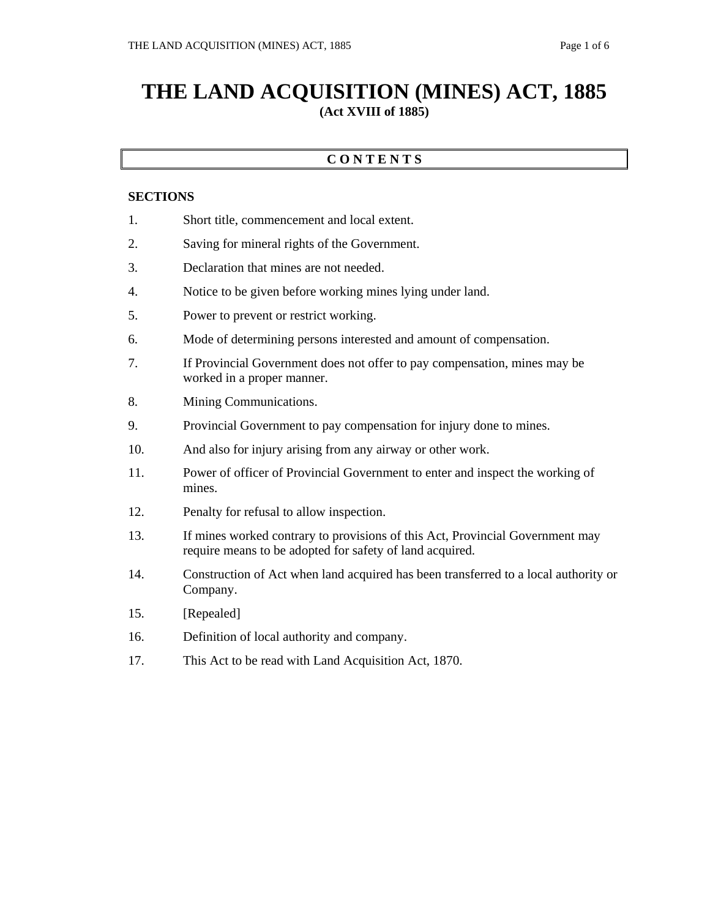## **THE LAND ACQUISITION (MINES) ACT, 1885 (Act XVIII of 1885)**

## **C O N T E N T S**

## **SECTIONS**

- 1. Short title, commencement and local extent.
- 2. Saving for mineral rights of the Government.
- 3. Declaration that mines are not needed.
- 4. Notice to be given before working mines lying under land.
- 5. Power to prevent or restrict working.
- 6. Mode of determining persons interested and amount of compensation.
- 7. If Provincial Government does not offer to pay compensation, mines may be worked in a proper manner.
- 8. Mining Communications.
- 9. Provincial Government to pay compensation for injury done to mines.
- 10. And also for injury arising from any airway or other work.
- 11. Power of officer of Provincial Government to enter and inspect the working of mines.
- 12. Penalty for refusal to allow inspection.
- 13. If mines worked contrary to provisions of this Act, Provincial Government may require means to be adopted for safety of land acquired.
- 14. Construction of Act when land acquired has been transferred to a local authority or Company.
- 15. [Repealed]
- 16. Definition of local authority and company.
- 17. This Act to be read with Land Acquisition Act, 1870.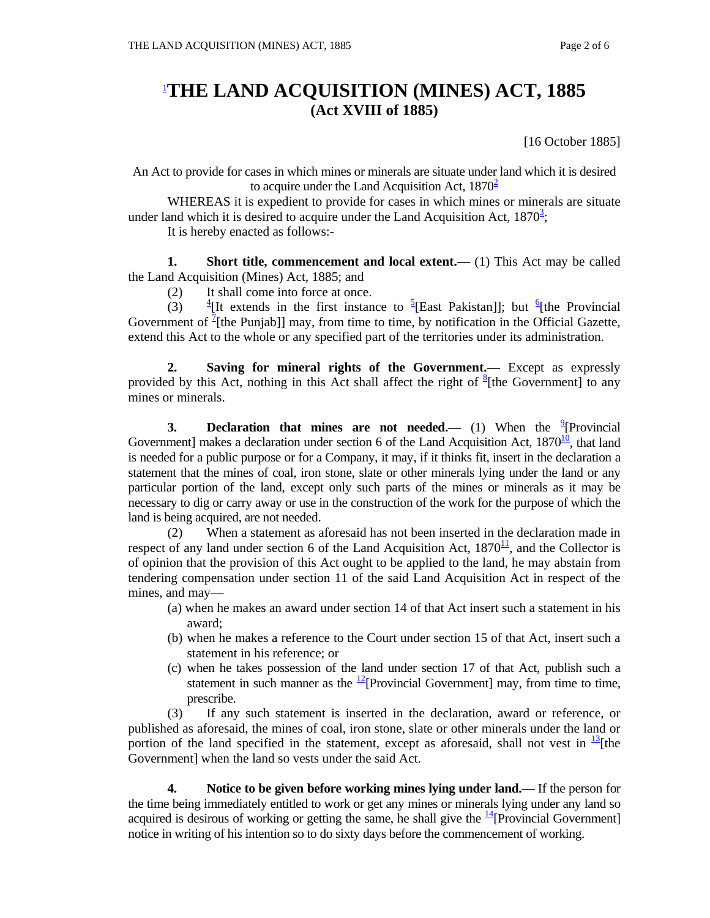## 1 **THE LAND ACQUISITION (MINES) ACT, 1885 (Act XVIII of 1885)**

[16 October 1885]

An Act to provide for cases in which mines or minerals are situate under land which it is desired to acquire under the Land Acquisition Act,  $1870^2$ 

 WHEREAS it is expedient to provide for cases in which mines or minerals are situate under land which it is desired to acquire under the Land Acquisition Act,  $1870^3$ ;

It is hereby enacted as follows:-

**1.** Short title, commencement and local extent.— (1) This Act may be called the Land Acquisition (Mines) Act, 1885; and

(2) It shall come into force at once.

 $(3)$ [It extends in the first instance to  ${}^{5}$ [East Pakistan]]; but <sup>6</sup>[the Provincial Government of  $\frac{7}{2}$ [the Punjab]] may, from time to time, by notification in the Official Gazette, extend this Act to the whole or any specified part of the territories under its administration.

 **2. Saving for mineral rights of the Government.—** Except as expressly provided by this Act, nothing in this Act shall affect the right of  $§$ [the Government] to any mines or minerals.

**3. Declaration that mines are not needed.** (1) When the <sup>9</sup> [Provincial Government] makes a declaration under section 6 of the Land Acquisition Act,  $1870^{10}$ , that land is needed for a public purpose or for a Company, it may, if it thinks fit, insert in the declaration a statement that the mines of coal, iron stone, slate or other minerals lying under the land or any particular portion of the land, except only such parts of the mines or minerals as it may be necessary to dig or carry away or use in the construction of the work for the purpose of which the land is being acquired, are not needed.

 (2) When a statement as aforesaid has not been inserted in the declaration made in respect of any land under section 6 of the Land Acquisition Act,  $1870<sup>11</sup>$ , and the Collector is of opinion that the provision of this Act ought to be applied to the land, he may abstain from tendering compensation under section 11 of the said Land Acquisition Act in respect of the mines, and may—

- (a) when he makes an award under section 14 of that Act insert such a statement in his award;
- (b) when he makes a reference to the Court under section 15 of that Act, insert such a statement in his reference; or
- (c) when he takes possession of the land under section 17 of that Act, publish such a statement in such manner as the  $\frac{12}{2}$ [Provincial Government] may, from time to time, prescribe.

 (3) If any such statement is inserted in the declaration, award or reference, or published as aforesaid, the mines of coal, iron stone, slate or other minerals under the land or portion of the land specified in the statement, except as aforesaid, shall not vest in  $\frac{13}{12}$ [the Government] when the land so vests under the said Act.

 **4. Notice to be given before working mines lying under land.—** If the person for the time being immediately entitled to work or get any mines or minerals lying under any land so acquired is desirous of working or getting the same, he shall give the  $\frac{14}{4}$ [Provincial Government] notice in writing of his intention so to do sixty days before the commencement of working.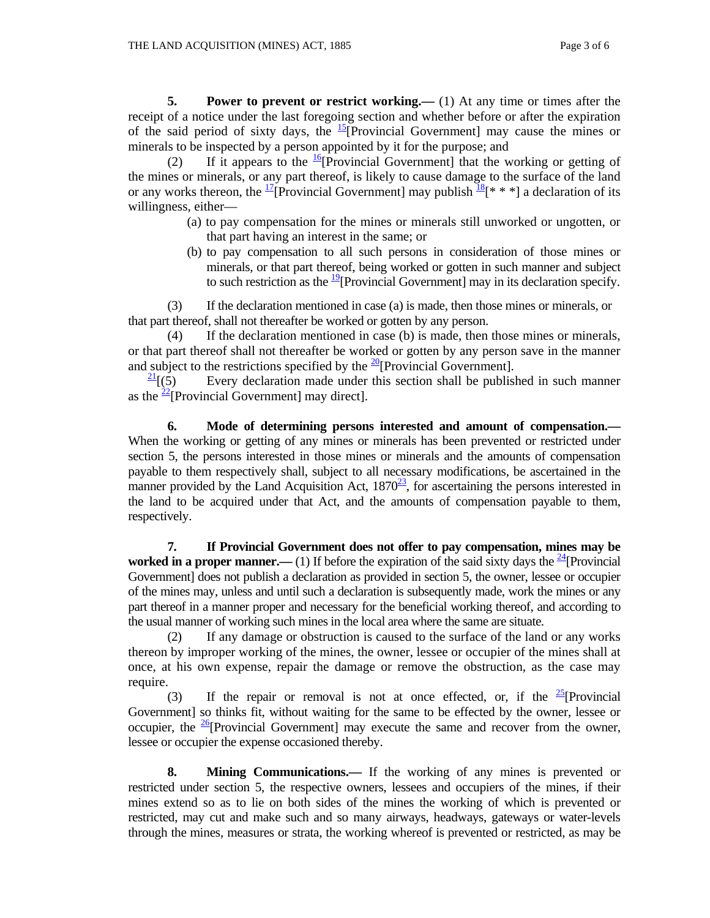**5.** Power to prevent or restrict working.— (1) At any time or times after the receipt of a notice under the last foregoing section and whether before or after the expiration of the said period of sixty days, the  $\frac{15}{2}$ [Provincial Government] may cause the mines or minerals to be inspected by a person appointed by it for the purpose; and

(2) If it appears to the  $\frac{16}{9}$ [Provincial Government] that the working or getting of the mines or minerals, or any part thereof, is likely to cause damage to the surface of the land or any works thereon, the <sup>17</sup>[Provincial Government] may publish  $\frac{18}{8}$ [\* \* \*] a declaration of its willingness, either—

- (a) to pay compensation for the mines or minerals still unworked or ungotten, or that part having an interest in the same; or
- (b) to pay compensation to all such persons in consideration of those mines or minerals, or that part thereof, being worked or gotten in such manner and subject to such restriction as the  $\frac{19}{2}$ [Provincial Government] may in its declaration specify.

(3) If the declaration mentioned in case (a) is made, then those mines or minerals, or that part thereof, shall not thereafter be worked or gotten by any person.

 (4) If the declaration mentioned in case (b) is made, then those mines or minerals, or that part thereof shall not thereafter be worked or gotten by any person save in the manner and subject to the restrictions specified by the  $\frac{20}{2}$ [Provincial Government].

 $\frac{21}{1}(5)$  Every declaration made under this section shall be published in such manner as the  $\frac{22}{2}$ [Provincial Government] may direct].

 **6. Mode of determining persons interested and amount of compensation.—** When the working or getting of any mines or minerals has been prevented or restricted under section 5, the persons interested in those mines or minerals and the amounts of compensation payable to them respectively shall, subject to all necessary modifications, be ascertained in the manner provided by the Land Acquisition Act,  $1870^{23}$ , for ascertaining the persons interested in the land to be acquired under that Act, and the amounts of compensation payable to them, respectively.

 **7. If Provincial Government does not offer to pay compensation, mines may be worked in a proper manner.—** (1) If before the expiration of the said sixty days the  $\frac{24}{4}$ [Provincial] Government] does not publish a declaration as provided in section 5, the owner, lessee or occupier of the mines may, unless and until such a declaration is subsequently made, work the mines or any part thereof in a manner proper and necessary for the beneficial working thereof, and according to the usual manner of working such mines in the local area where the same are situate.

 (2) If any damage or obstruction is caused to the surface of the land or any works thereon by improper working of the mines, the owner, lessee or occupier of the mines shall at once, at his own expense, repair the damage or remove the obstruction, as the case may require.

(3) If the repair or removal is not at once effected, or, if the  $\frac{25}{5}$ [Provincial] Government] so thinks fit, without waiting for the same to be effected by the owner, lessee or occupier, the  $\frac{26}{5}$ [Provincial Government] may execute the same and recover from the owner, lessee or occupier the expense occasioned thereby.

 **8. Mining Communications.—** If the working of any mines is prevented or restricted under section 5, the respective owners, lessees and occupiers of the mines, if their mines extend so as to lie on both sides of the mines the working of which is prevented or restricted, may cut and make such and so many airways, headways, gateways or water-levels through the mines, measures or strata, the working whereof is prevented or restricted, as may be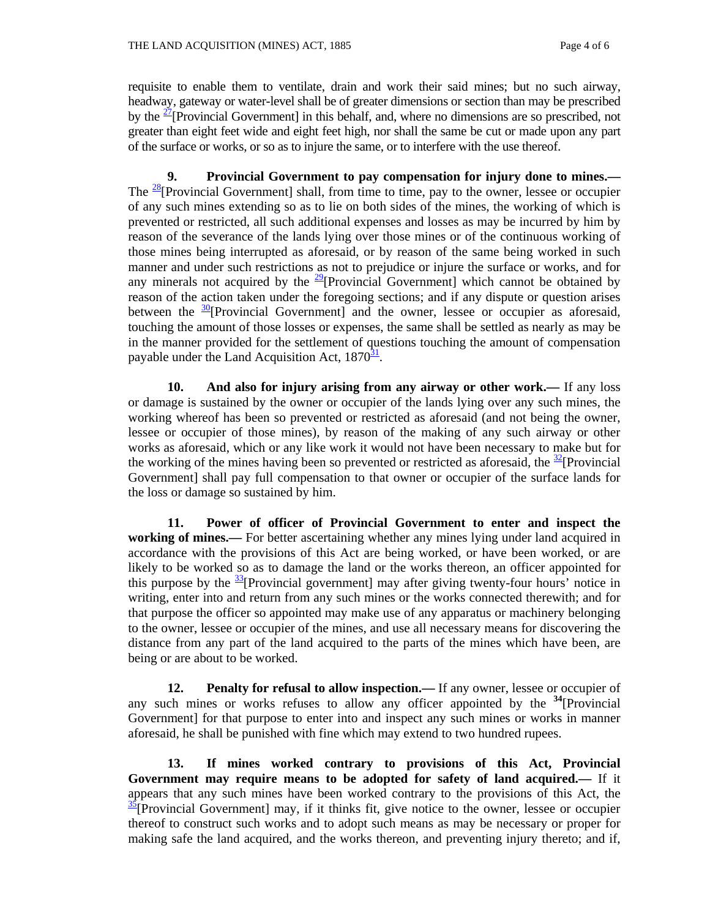requisite to enable them to ventilate, drain and work their said mines; but no such airway, headway, gateway or water-level shall be of greater dimensions or section than may be prescribed by the  $\frac{27}{2}$ [Provincial Government] in this behalf, and, where no dimensions are so prescribed, not greater than eight feet wide and eight feet high, nor shall the same be cut or made upon any part of the surface or works, or so as to injure the same, or to interfere with the use thereof.

 **9. Provincial Government to pay compensation for injury done to mines.—** The  $\frac{28}{8}$ [Provincial Government] shall, from time to time, pay to the owner, lessee or occupier of any such mines extending so as to lie on both sides of the mines, the working of which is prevented or restricted, all such additional expenses and losses as may be incurred by him by reason of the severance of the lands lying over those mines or of the continuous working of those mines being interrupted as aforesaid, or by reason of the same being worked in such manner and under such restrictions as not to prejudice or injure the surface or works, and for any minerals not acquired by the  $\frac{29}{9}$ [Provincial Government] which cannot be obtained by reason of the action taken under the foregoing sections; and if any dispute or question arises between the  $\frac{30}{2}$ [Provincial Government] and the owner, lessee or occupier as aforesaid, touching the amount of those losses or expenses, the same shall be settled as nearly as may be in the manner provided for the settlement of questions touching the amount of compensation payable under the Land Acquisition Act,  $1870<sup>31</sup>$ .

 **10. And also for injury arising from any airway or other work.—** If any loss or damage is sustained by the owner or occupier of the lands lying over any such mines, the working whereof has been so prevented or restricted as aforesaid (and not being the owner, lessee or occupier of those mines), by reason of the making of any such airway or other works as aforesaid, which or any like work it would not have been necessary to make but for the working of the mines having been so prevented or restricted as aforesaid, the  $\frac{32}{2}$ [Provincial] Government] shall pay full compensation to that owner or occupier of the surface lands for the loss or damage so sustained by him.

 **11. Power of officer of Provincial Government to enter and inspect the working of mines.—** For better ascertaining whether any mines lying under land acquired in accordance with the provisions of this Act are being worked, or have been worked, or are likely to be worked so as to damage the land or the works thereon, an officer appointed for this purpose by the  $\frac{33}{2}$ [Provincial government] may after giving twenty-four hours' notice in writing, enter into and return from any such mines or the works connected therewith; and for that purpose the officer so appointed may make use of any apparatus or machinery belonging to the owner, lessee or occupier of the mines, and use all necessary means for discovering the distance from any part of the land acquired to the parts of the mines which have been, are being or are about to be worked.

 **12. Penalty for refusal to allow inspection.—** If any owner, lessee or occupier of any such mines or works refuses to allow any officer appointed by the **<sup>34</sup>**[Provincial Government] for that purpose to enter into and inspect any such mines or works in manner aforesaid, he shall be punished with fine which may extend to two hundred rupees.

 **13. If mines worked contrary to provisions of this Act, Provincial Government may require means to be adopted for safety of land acquired.—** If it appears that any such mines have been worked contrary to the provisions of this Act, the  $\frac{35}{2}$ [Provincial Government] may, if it thinks fit, give notice to the owner, lessee or occupier thereof to construct such works and to adopt such means as may be necessary or proper for making safe the land acquired, and the works thereon, and preventing injury thereto; and if,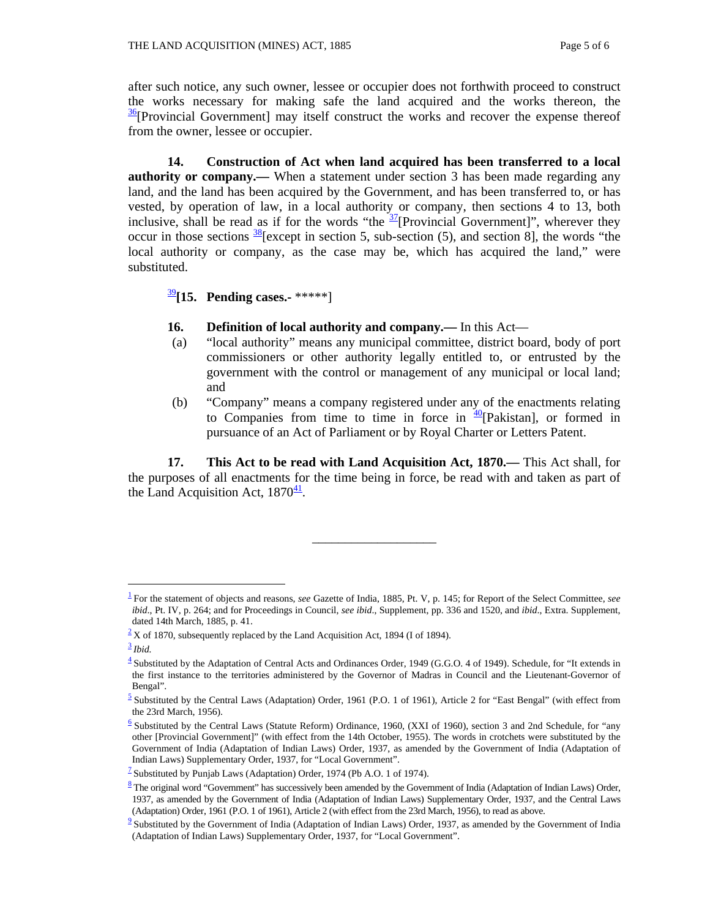after such notice, any such owner, lessee or occupier does not forthwith proceed to construct the works necessary for making safe the land acquired and the works thereon, the 36[Provincial Government] may itself construct the works and recover the expense thereof from the owner, lessee or occupier.

 **14. Construction of Act when land acquired has been transferred to a local authority or company.—** When a statement under section 3 has been made regarding any land, and the land has been acquired by the Government, and has been transferred to, or has vested, by operation of law, in a local authority or company, then sections 4 to 13, both inclusive, shall be read as if for the words "the  $\frac{37}{2}$ [Provincial Government]", wherever they occur in those sections  $\frac{38}{8}$ [except in section 5, sub-section (5), and section 8], the words "the local authority or company, as the case may be, which has acquired the land," were substituted.

<sup>39</sup>**[15. Pending cases.-** \*\*\*\*\*]

- **16. Definition of local authority and company.—** In this Act—
- (a) "local authority" means any municipal committee, district board, body of port commissioners or other authority legally entitled to, or entrusted by the government with the control or management of any municipal or local land; and
- (b) "Company" means a company registered under any of the enactments relating to Companies from time to time in force in  $\frac{40}{x}$ [Pakistan], or formed in pursuance of an Act of Parliament or by Royal Charter or Letters Patent.

 **17. This Act to be read with Land Acquisition Act, 1870.—** This Act shall, for the purposes of all enactments for the time being in force, be read with and taken as part of the Land Acquisition Act,  $1870^{\frac{41}{2}}$ .

\_\_\_\_\_\_\_\_\_\_\_\_\_\_\_\_\_\_\_

 $\overline{a}$ 

<sup>1</sup> For the statement of objects and reasons, *see* Gazette of India, 1885, Pt. V, p. 145; for Report of the Select Committee, *see ibid*., Pt. IV, p. 264; and for Proceedings in Council, *see ibid*., Supplement, pp. 336 and 1520, and *ibid*., Extra. Supplement, dated 14th March, 1885, p. 41.

 $2 \times 2$  X of 1870, subsequently replaced by the Land Acquisition Act, 1894 (I of 1894).

<sup>3</sup> *Ibid.*

 $\frac{4}{3}$  Substituted by the Adaptation of Central Acts and Ordinances Order, 1949 (G.G.O. 4 of 1949). Schedule, for "It extends in the first instance to the territories administered by the Governor of Madras in Council and the Lieutenant-Governor of Bengal".

 $\frac{5}{2}$  Substituted by the Central Laws (Adaptation) Order, 1961 (P.O. 1 of 1961), Article 2 for "East Bengal" (with effect from the 23rd March, 1956).

 $\frac{6}{5}$  Substituted by the Central Laws (Statute Reform) Ordinance, 1960, (XXI of 1960), section 3 and 2nd Schedule, for "any other [Provincial Government]" (with effect from the 14th October, 1955). The words in crotchets were substituted by the Government of India (Adaptation of Indian Laws) Order, 1937, as amended by the Government of India (Adaptation of Indian Laws) Supplementary Order, 1937, for "Local Government".

<sup>&</sup>lt;sup>7</sup> Substituted by Punjab Laws (Adaptation) Order, 1974 (Pb A.O. 1 of 1974).<br><sup>8</sup> The original word "Government" has successively been amended by the Government of India (Adaptation of Indian Laws) Order, 1937, as amended by the Government of India (Adaptation of Indian Laws) Supplementary Order, 1937, and the Central Laws (Adaptation) Order, 1961 (P.O. 1 of 1961), Article 2 (with effect from the 23rd March, 1956), to read as above.

 $\frac{9}{2}$  Substituted by the Government of India (Adaptation of Indian Laws) Order, 1937, as amended by the Government of India (Adaptation of Indian Laws) Supplementary Order, 1937, for "Local Government".